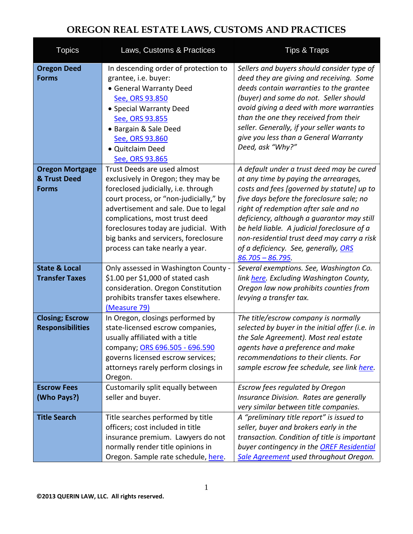## **OREGON REAL ESTATE LAWS, CUSTOMS AND PRACTICES**

| <b>Topics</b>                                          | Laws, Customs & Practices                                                                                                                                                                                                                                                                                                                        | <b>Tips &amp; Traps</b>                                                                                                                                                                                                                                                                                                                                                                                                          |
|--------------------------------------------------------|--------------------------------------------------------------------------------------------------------------------------------------------------------------------------------------------------------------------------------------------------------------------------------------------------------------------------------------------------|----------------------------------------------------------------------------------------------------------------------------------------------------------------------------------------------------------------------------------------------------------------------------------------------------------------------------------------------------------------------------------------------------------------------------------|
| <b>Oregon Deed</b><br><b>Forms</b>                     | In descending order of protection to<br>grantee, i.e. buyer:<br>• General Warranty Deed<br>See, ORS 93.850<br>• Special Warranty Deed<br>See, ORS 93.855<br>• Bargain & Sale Deed<br>See, ORS 93.860<br>· Quitclaim Deed<br>See, ORS 93.865                                                                                                      | Sellers and buyers should consider type of<br>deed they are giving and receiving. Some<br>deeds contain warranties to the grantee<br>(buyer) and some do not. Seller should<br>avoid giving a deed with more warranties<br>than the one they received from their<br>seller. Generally, if your seller wants to<br>give you less than a General Warranty<br>Deed, ask "Why?"                                                      |
| <b>Oregon Mortgage</b><br>& Trust Deed<br><b>Forms</b> | Trust Deeds are used almost<br>exclusively in Oregon; they may be<br>foreclosed judicially, i.e. through<br>court process, or "non-judicially," by<br>advertisement and sale. Due to legal<br>complications, most trust deed<br>foreclosures today are judicial. With<br>big banks and servicers, foreclosure<br>process can take nearly a year. | A default under a trust deed may be cured<br>at any time by paying the arrearages,<br>costs and fees [governed by statute] up to<br>five days before the foreclosure sale; no<br>right of redemption after sale and no<br>deficiency, although a guarantor may still<br>be held liable. A judicial foreclosure of a<br>non-residential trust deed may carry a risk<br>of a deficiency. See, generally, ORS<br>$86.705 - 86.795.$ |
| <b>State &amp; Local</b><br><b>Transfer Taxes</b>      | Only assessed in Washington County -<br>\$1.00 per \$1,000 of stated cash<br>consideration. Oregon Constitution<br>prohibits transfer taxes elsewhere.<br>(Measure 79)                                                                                                                                                                           | Several exemptions. See, Washington Co.<br>link here. Excluding Washington County,<br>Oregon law now prohibits counties from<br>levying a transfer tax.                                                                                                                                                                                                                                                                          |
| <b>Closing; Escrow</b><br><b>Responsibilities</b>      | In Oregon, closings performed by<br>state-licensed escrow companies,<br>usually affiliated with a title<br>company; ORS 696.505 - 696.590<br>governs licensed escrow services;<br>attorneys rarely perform closings in<br>Oregon.                                                                                                                | The title/escrow company is normally<br>selected by buyer in the initial offer (i.e. in<br>the Sale Agreement). Most real estate<br>agents have a preference and make<br>recommendations to their clients. For<br>sample escrow fee schedule, see link here.                                                                                                                                                                     |
| <b>Escrow Fees</b><br>(Who Pays?)                      | Customarily split equally between<br>seller and buyer.                                                                                                                                                                                                                                                                                           | Escrow fees regulated by Oregon<br>Insurance Division. Rates are generally<br>very similar between title companies.                                                                                                                                                                                                                                                                                                              |
| <b>Title Search</b>                                    | Title searches performed by title<br>officers; cost included in title<br>insurance premium. Lawyers do not<br>normally render title opinions in<br>Oregon. Sample rate schedule, here.                                                                                                                                                           | A "preliminary title report" is issued to<br>seller, buyer and brokers early in the<br>transaction. Condition of title is important<br>buyer contingency in the OREF Residential<br>Sale Agreement used throughout Oregon.                                                                                                                                                                                                       |